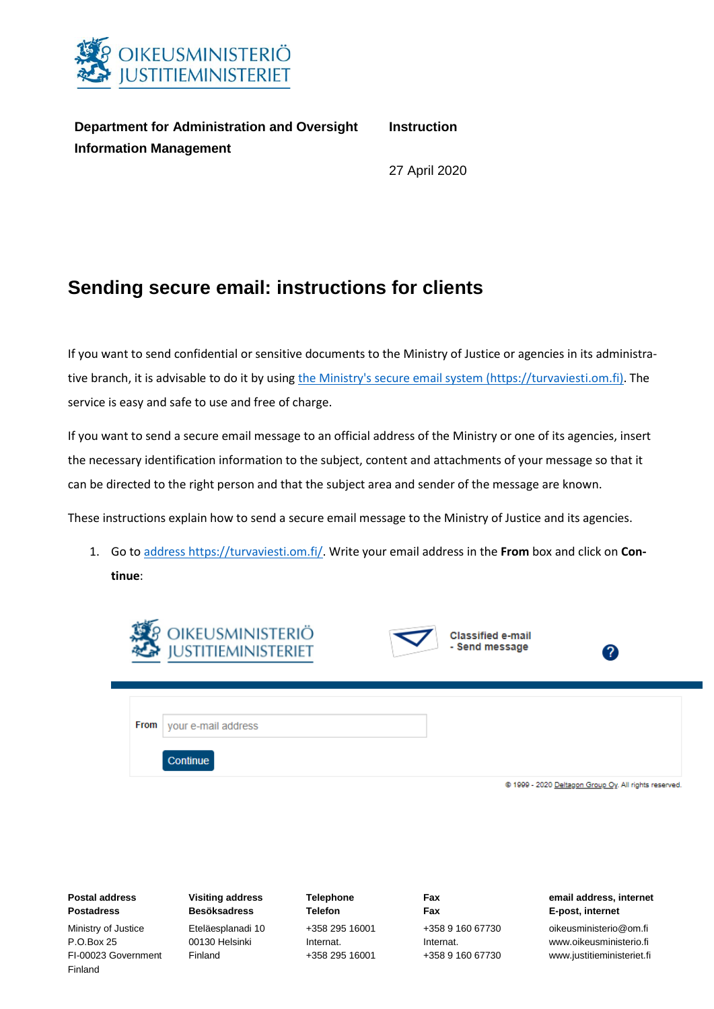

**Department for Administration and Oversight Instruction Information Management**

27 April 2020

## **Sending secure email: instructions for clients**

If you want to send confidential or sensitive documents to the Ministry of Justice or agencies in its administrative branch, it is advisable to do it by usin[g the Ministry's secure email system \(https://turvaviesti.om.fi\).](https://turvaviesti.om.fi/) The service is easy and safe to use and free of charge.

If you want to send a secure email message to an official address of the Ministry or one of its agencies, insert the necessary identification information to the subject, content and attachments of your message so that it can be directed to the right person and that the subject area and sender of the message are known.

These instructions explain how to send a secure email message to the Ministry of Justice and its agencies.

1. Go to address [https://turvaviesti.om.fi/.](https://turvaviesti.om.fi/) Write your email address in the **From** box and click on **Continue**:



| <b>Postal address</b>          | <b>Visiting address</b> | <b>Telephone</b> | Fax              | email address, internet    |
|--------------------------------|-------------------------|------------------|------------------|----------------------------|
| <b>Postadress</b>              | <b>Besöksadress</b>     | <b>Telefon</b>   | Fax              | E-post, internet           |
| Ministry of Justice            | Eteläesplanadi 10       | +358 295 16001   | +358 9 160 67730 | oikeusministerio@om.fi     |
| P.O.Box 25                     | 00130 Helsinki          | Internat.        | Internat.        | www.oikeusministerio.fi    |
| FI-00023 Government<br>Finland | Finland                 | +358 295 16001   | +358 9 160 67730 | www.justitieministeriet.fi |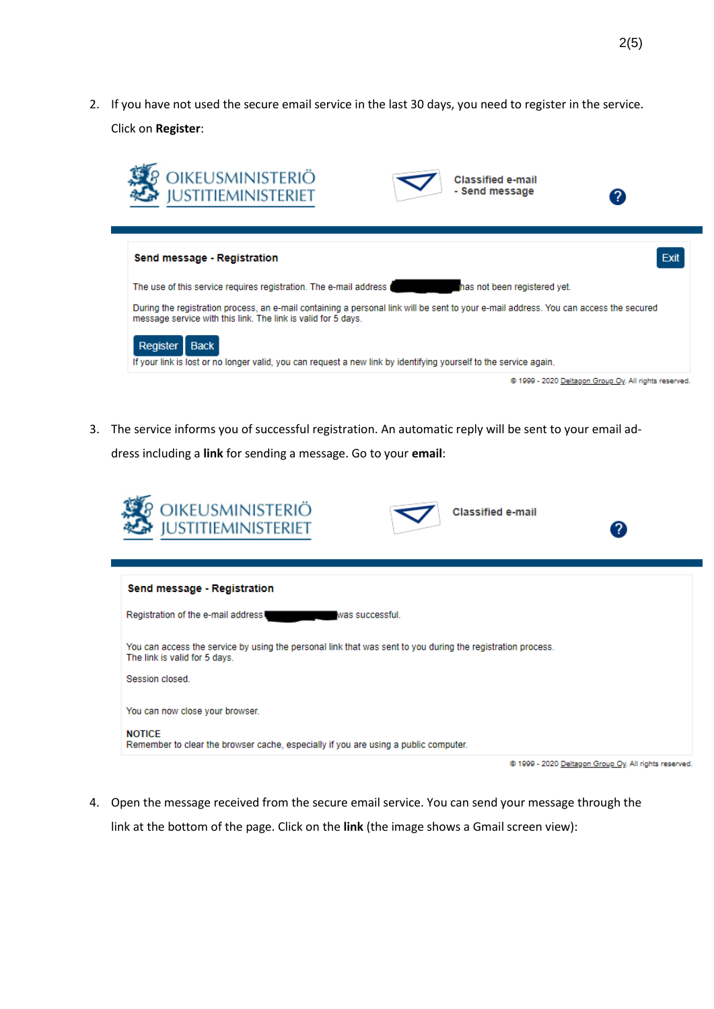2. If you have not used the secure email service in the last 30 days, you need to register in the service. Click on **Register**:



3. The service informs you of successful registration. An automatic reply will be sent to your email address including a **link** for sending a message. Go to your **email**:



4. Open the message received from the secure email service. You can send your message through the link at the bottom of the page. Click on the **link** (the image shows a Gmail screen view):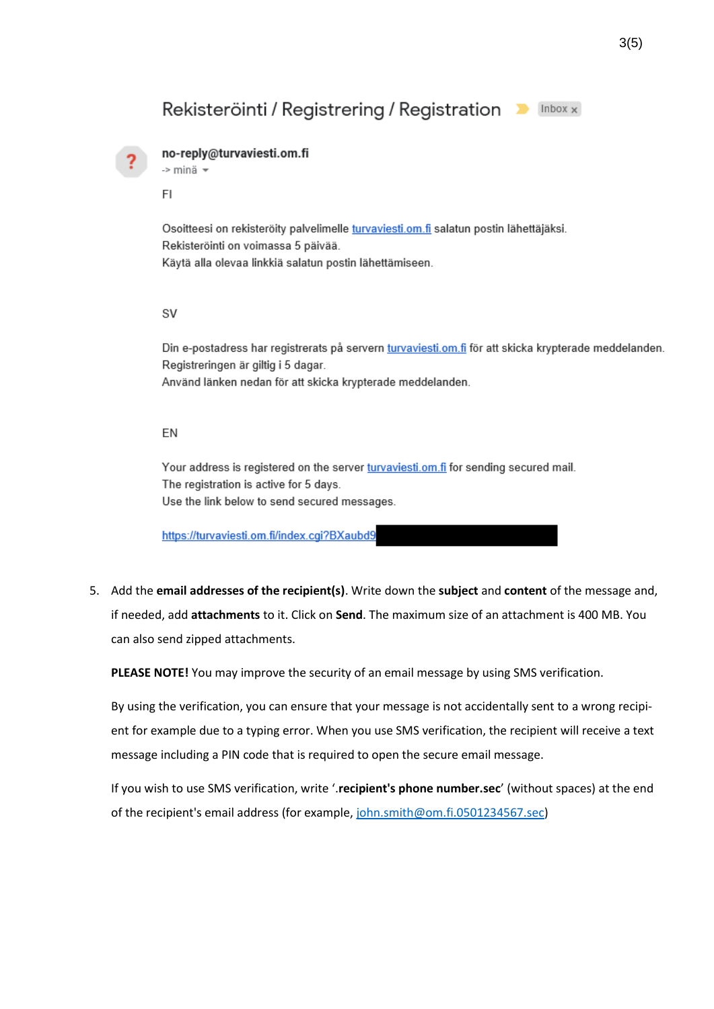## Rekisteröinti / Registrering / Registration Delinbox x



## no-reply@turvaviesti.om.fi

-> minä -

FI

Osoitteesi on rekisteröity palvelimelle turvaviesti.om.fi salatun postin lähettäjäksi. Rekisteröinti on voimassa 5 päivää. Käytä alla olevaa linkkiä salatun postin lähettämiseen.

**SV** 

Din e-postadress har registrerats på servern turvaviesti.om.fi för att skicka krypterade meddelanden. Registreringen är giltig i 5 dagar.

Använd länken nedan för att skicka krypterade meddelanden.

## EN

Your address is registered on the server turvaviesti.om.fi for sending secured mail. The registration is active for 5 days. Use the link below to send secured messages.

https://turvaviesti.om.fi/index.cgi?BXaubd9

5. Add the **email addresses of the recipient(s)**. Write down the **subject** and **content** of the message and, if needed, add **attachments** to it. Click on **Send**. The maximum size of an attachment is 400 MB. You can also send zipped attachments.

**PLEASE NOTE!** You may improve the security of an email message by using SMS verification.

By using the verification, you can ensure that your message is not accidentally sent to a wrong recipient for example due to a typing error. When you use SMS verification, the recipient will receive a text message including a PIN code that is required to open the secure email message.

If you wish to use SMS verification, write '.**recipient's phone number.sec**' (without spaces) at the end of the recipient's email address (for example, [john.smith@om.fi.0501234567.sec\)](mailto:ville.virkamies@om.fi.0501234567.sec)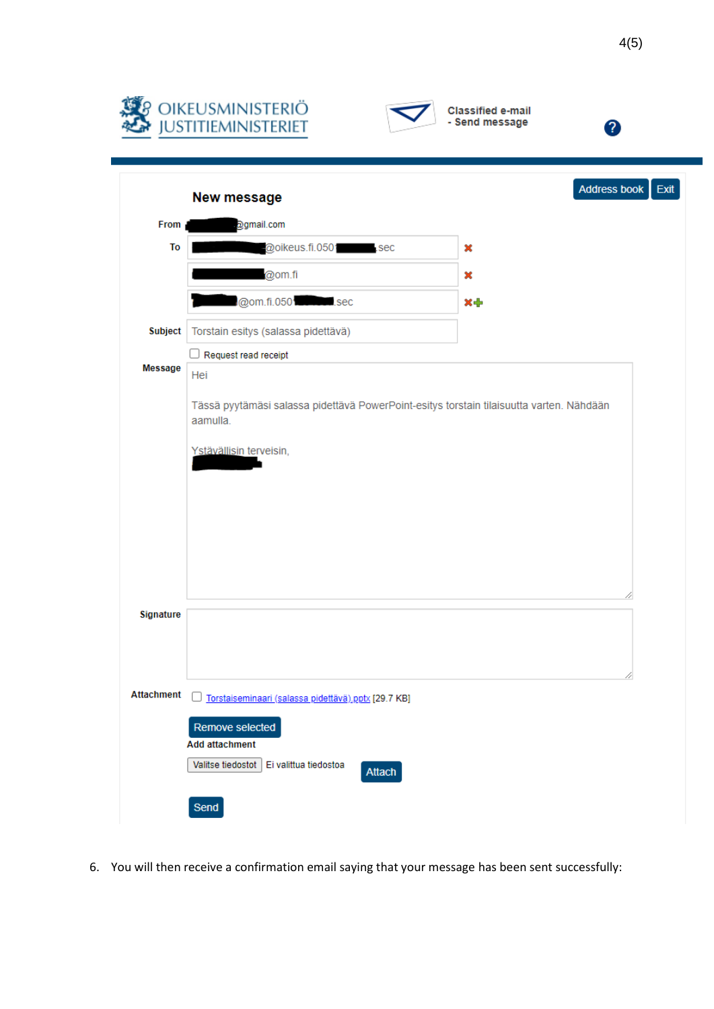





|                   | New message                                                                                          | Address book | Exit |  |  |  |
|-------------------|------------------------------------------------------------------------------------------------------|--------------|------|--|--|--|
| From              | ogmail.com                                                                                           |              |      |  |  |  |
| To                | @oikeus.fi.0501 sec                                                                                  | ×            |      |  |  |  |
|                   | @om.fi                                                                                               | ×            |      |  |  |  |
|                   | @om.fi.0501 sec                                                                                      | ×ф           |      |  |  |  |
| Subject           | Torstain esitys (salassa pidettävä)                                                                  |              |      |  |  |  |
|                   | $\Box$ Request read receipt                                                                          |              |      |  |  |  |
| Message           | Hei                                                                                                  |              |      |  |  |  |
|                   | Tässä pyytämäsi salassa pidettävä PowerPoint-esitys torstain tilaisuutta varten. Nähdään<br>aamulla. |              |      |  |  |  |
|                   | Ystävällisin terveisin,                                                                              |              |      |  |  |  |
|                   |                                                                                                      |              |      |  |  |  |
|                   |                                                                                                      |              |      |  |  |  |
|                   |                                                                                                      |              |      |  |  |  |
|                   |                                                                                                      |              |      |  |  |  |
|                   |                                                                                                      |              |      |  |  |  |
|                   |                                                                                                      |              |      |  |  |  |
| Signature         |                                                                                                      |              |      |  |  |  |
|                   |                                                                                                      |              |      |  |  |  |
|                   |                                                                                                      |              |      |  |  |  |
| <b>Attachment</b> | Torstaiseminaari (salassa pidettävä).pptx [29.7 KB]                                                  |              |      |  |  |  |
|                   | Remove selected                                                                                      |              |      |  |  |  |
|                   | <b>Add attachment</b>                                                                                |              |      |  |  |  |
|                   | Ei valittua tiedostoa<br>Valitse tiedostot<br>Attach                                                 |              |      |  |  |  |
|                   |                                                                                                      |              |      |  |  |  |
|                   | Send                                                                                                 |              |      |  |  |  |

6. You will then receive a confirmation email saying that your message has been sent successfully: